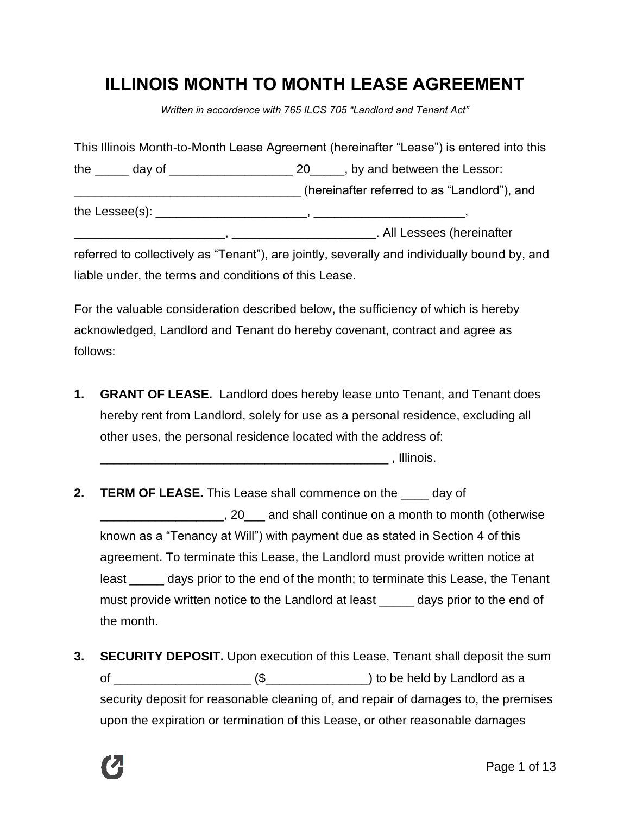# **ILLINOIS MONTH TO MONTH LEASE AGREEMENT**

*Written in accordance with 765 ILCS 705 "Landlord and Tenant Act"*

|  | This Illinois Month-to-Month Lease Agreement (hereinafter "Lease") is entered into this      |
|--|----------------------------------------------------------------------------------------------|
|  | the $\_\_\_\_$ day of $\_\_\_\_\_\_\_\_$ 20 $\_\_\_\_$ , by and between the Lessor:          |
|  | (hereinafter referred to as "Landlord"), and                                                 |
|  |                                                                                              |
|  |                                                                                              |
|  | referred to collectively as "Tenant"), are jointly, severally and individually bound by, and |
|  | liable under, the terms and conditions of this Lease.                                        |

For the valuable consideration described below, the sufficiency of which is hereby acknowledged, Landlord and Tenant do hereby covenant, contract and agree as follows:

**1. GRANT OF LEASE.** Landlord does hereby lease unto Tenant, and Tenant does hereby rent from Landlord, solely for use as a personal residence, excluding all other uses, the personal residence located with the address of:

\_\_\_\_\_\_\_\_\_\_\_\_\_\_\_\_\_\_\_\_\_\_\_\_\_\_\_\_\_\_\_\_\_\_\_\_\_\_\_\_\_\_ , Illinois.

- **2. TERM OF LEASE.** This Lease shall commence on the \_\_\_\_ day of \_\_\_\_\_\_\_\_\_\_\_\_\_\_\_\_\_\_, 20\_\_\_ and shall continue on a month to month (otherwise known as a "Tenancy at Will") with payment due as stated in Section 4 of this agreement. To terminate this Lease, the Landlord must provide written notice at least \_\_\_\_\_ days prior to the end of the month; to terminate this Lease, the Tenant must provide written notice to the Landlord at least \_\_\_\_\_\_ days prior to the end of the month.
- **3. SECURITY DEPOSIT.** Upon execution of this Lease, Tenant shall deposit the sum of  $\frac{1}{\sqrt{2}}$  (\$ $\frac{1}{\sqrt{2}}$ ) to be held by Landlord as a security deposit for reasonable cleaning of, and repair of damages to, the premises upon the expiration or termination of this Lease, or other reasonable damages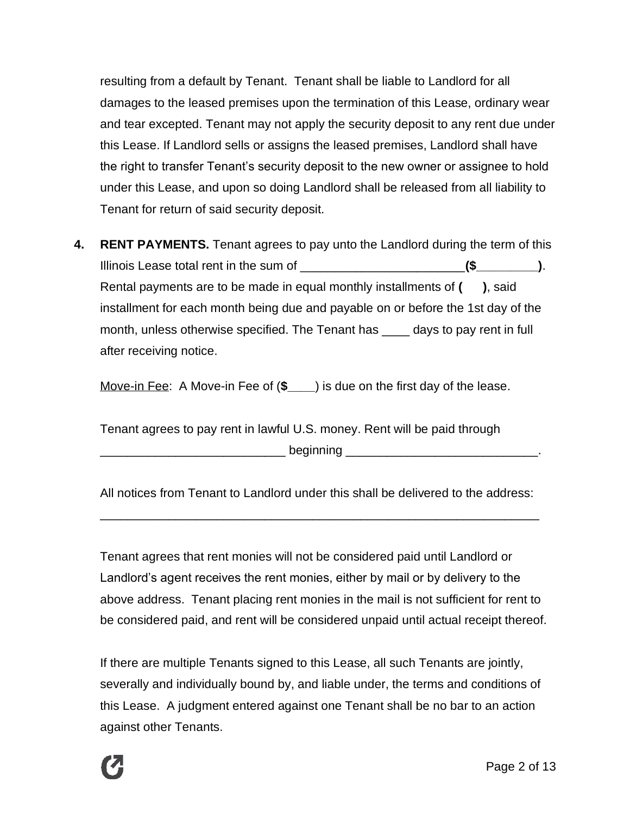resulting from a default by Tenant. Tenant shall be liable to Landlord for all damages to the leased premises upon the termination of this Lease, ordinary wear and tear excepted. Tenant may not apply the security deposit to any rent due under this Lease. If Landlord sells or assigns the leased premises, Landlord shall have the right to transfer Tenant's security deposit to the new owner or assignee to hold under this Lease, and upon so doing Landlord shall be released from all liability to Tenant for return of said security deposit.

**4. RENT PAYMENTS.** Tenant agrees to pay unto the Landlord during the term of this Illinois Lease total rent in the sum of \_\_\_\_\_\_\_\_\_\_\_\_\_\_\_\_\_\_\_\_\_\_\_\_**(\$\_\_\_\_\_\_\_\_\_)**. Rental payments are to be made in equal monthly installments of **( )**, said installment for each month being due and payable on or before the 1st day of the month, unless otherwise specified. The Tenant has days to pay rent in full after receiving notice.

Move-in Fee: A Move-in Fee of (**\$\_\_\_\_**) is due on the first day of the lease.

Tenant agrees to pay rent in lawful U.S. money. Rent will be paid through \_\_\_\_\_\_\_\_\_\_\_\_\_\_\_\_\_\_\_\_\_\_\_\_\_\_\_ beginning \_\_\_\_\_\_\_\_\_\_\_\_\_\_\_\_\_\_\_\_\_\_\_\_\_\_\_\_.

All notices from Tenant to Landlord under this shall be delivered to the address:

\_\_\_\_\_\_\_\_\_\_\_\_\_\_\_\_\_\_\_\_\_\_\_\_\_\_\_\_\_\_\_\_\_\_\_\_\_\_\_\_\_\_\_\_\_\_\_\_\_\_\_\_\_\_\_\_\_\_\_\_\_\_\_\_

Tenant agrees that rent monies will not be considered paid until Landlord or Landlord's agent receives the rent monies, either by mail or by delivery to the above address. Tenant placing rent monies in the mail is not sufficient for rent to be considered paid, and rent will be considered unpaid until actual receipt thereof.

If there are multiple Tenants signed to this Lease, all such Tenants are jointly, severally and individually bound by, and liable under, the terms and conditions of this Lease. A judgment entered against one Tenant shall be no bar to an action against other Tenants.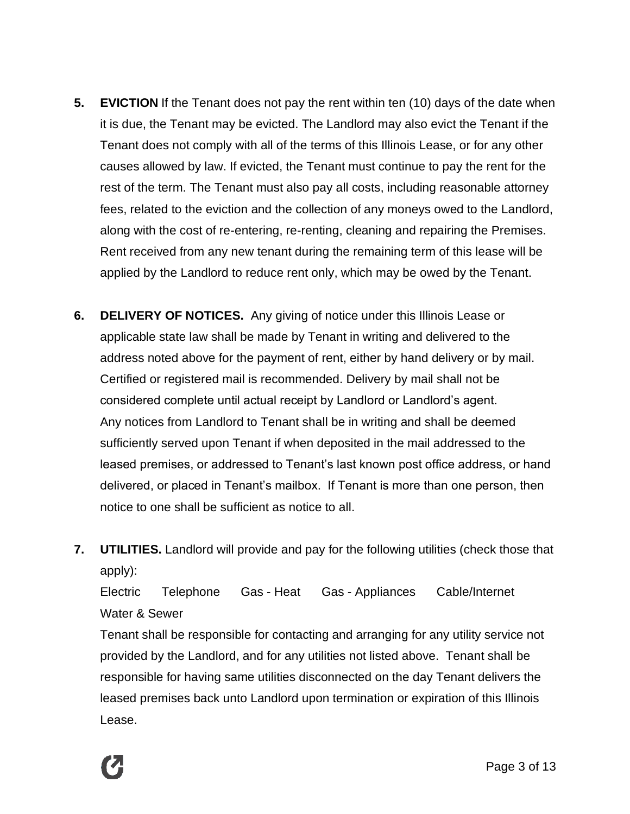- **5. EVICTION** If the Tenant does not pay the rent within ten (10) days of the date when it is due, the Tenant may be evicted. The Landlord may also evict the Tenant if the Tenant does not comply with all of the terms of this Illinois Lease, or for any other causes allowed by law. If evicted, the Tenant must continue to pay the rent for the rest of the term. The Tenant must also pay all costs, including reasonable attorney fees, related to the eviction and the collection of any moneys owed to the Landlord, along with the cost of re-entering, re-renting, cleaning and repairing the Premises. Rent received from any new tenant during the remaining term of this lease will be applied by the Landlord to reduce rent only, which may be owed by the Tenant.
- **6. DELIVERY OF NOTICES.** Any giving of notice under this Illinois Lease or applicable state law shall be made by Tenant in writing and delivered to the address noted above for the payment of rent, either by hand delivery or by mail. Certified or registered mail is recommended. Delivery by mail shall not be considered complete until actual receipt by Landlord or Landlord's agent. Any notices from Landlord to Tenant shall be in writing and shall be deemed sufficiently served upon Tenant if when deposited in the mail addressed to the leased premises, or addressed to Tenant's last known post office address, or hand delivered, or placed in Tenant's mailbox. If Tenant is more than one person, then notice to one shall be sufficient as notice to all.
- **7. UTILITIES.** Landlord will provide and pay for the following utilities (check those that apply):

Electric Telephone Gas - Heat Gas - Appliances Cable/Internet Water & Sewer

Tenant shall be responsible for contacting and arranging for any utility service not provided by the Landlord, and for any utilities not listed above. Tenant shall be responsible for having same utilities disconnected on the day Tenant delivers the leased premises back unto Landlord upon termination or expiration of this Illinois Lease.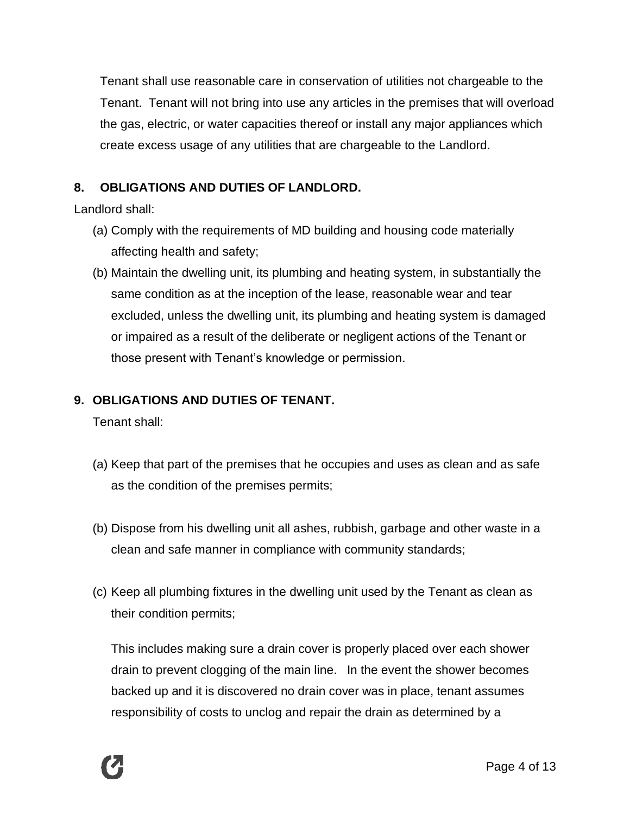Tenant shall use reasonable care in conservation of utilities not chargeable to the Tenant. Tenant will not bring into use any articles in the premises that will overload the gas, electric, or water capacities thereof or install any major appliances which create excess usage of any utilities that are chargeable to the Landlord.

## **8. OBLIGATIONS AND DUTIES OF LANDLORD.**

Landlord shall:

- (a) Comply with the requirements of MD building and housing code materially affecting health and safety;
- (b) Maintain the dwelling unit, its plumbing and heating system, in substantially the same condition as at the inception of the lease, reasonable wear and tear excluded, unless the dwelling unit, its plumbing and heating system is damaged or impaired as a result of the deliberate or negligent actions of the Tenant or those present with Tenant's knowledge or permission.

### **9. OBLIGATIONS AND DUTIES OF TENANT.**

Tenant shall:

- (a) Keep that part of the premises that he occupies and uses as clean and as safe as the condition of the premises permits;
- (b) Dispose from his dwelling unit all ashes, rubbish, garbage and other waste in a clean and safe manner in compliance with community standards;
- (c) Keep all plumbing fixtures in the dwelling unit used by the Tenant as clean as their condition permits;

This includes making sure a drain cover is properly placed over each shower drain to prevent clogging of the main line. In the event the shower becomes backed up and it is discovered no drain cover was in place, tenant assumes responsibility of costs to unclog and repair the drain as determined by a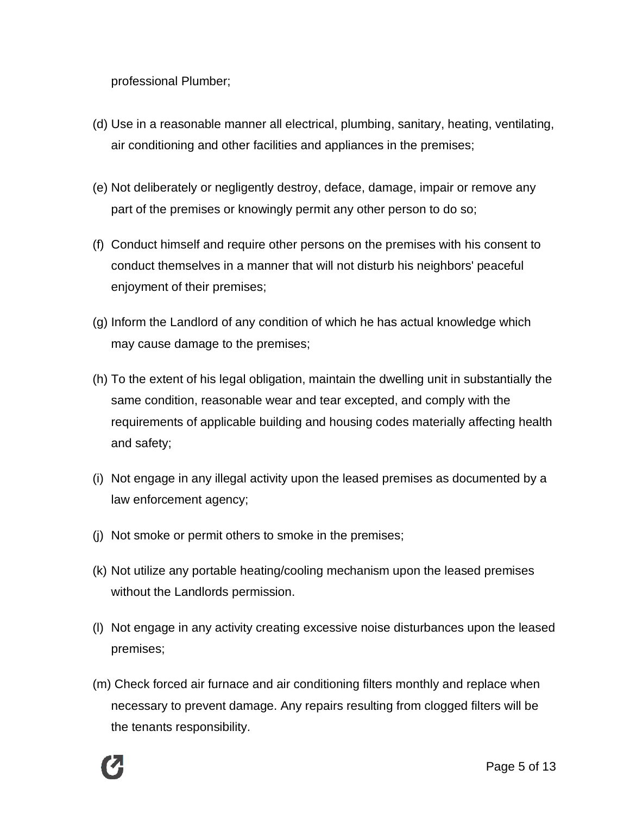professional Plumber;

- (d) Use in a reasonable manner all electrical, plumbing, sanitary, heating, ventilating, air conditioning and other facilities and appliances in the premises;
- (e) Not deliberately or negligently destroy, deface, damage, impair or remove any part of the premises or knowingly permit any other person to do so;
- (f) Conduct himself and require other persons on the premises with his consent to conduct themselves in a manner that will not disturb his neighbors' peaceful enjoyment of their premises;
- (g) Inform the Landlord of any condition of which he has actual knowledge which may cause damage to the premises;
- (h) To the extent of his legal obligation, maintain the dwelling unit in substantially the same condition, reasonable wear and tear excepted, and comply with the requirements of applicable building and housing codes materially affecting health and safety;
- (i) Not engage in any illegal activity upon the leased premises as documented by a law enforcement agency;
- (j) Not smoke or permit others to smoke in the premises;
- (k) Not utilize any portable heating/cooling mechanism upon the leased premises without the Landlords permission.
- (l) Not engage in any activity creating excessive noise disturbances upon the leased premises;
- (m) Check forced air furnace and air conditioning filters monthly and replace when necessary to prevent damage. Any repairs resulting from clogged filters will be the tenants responsibility.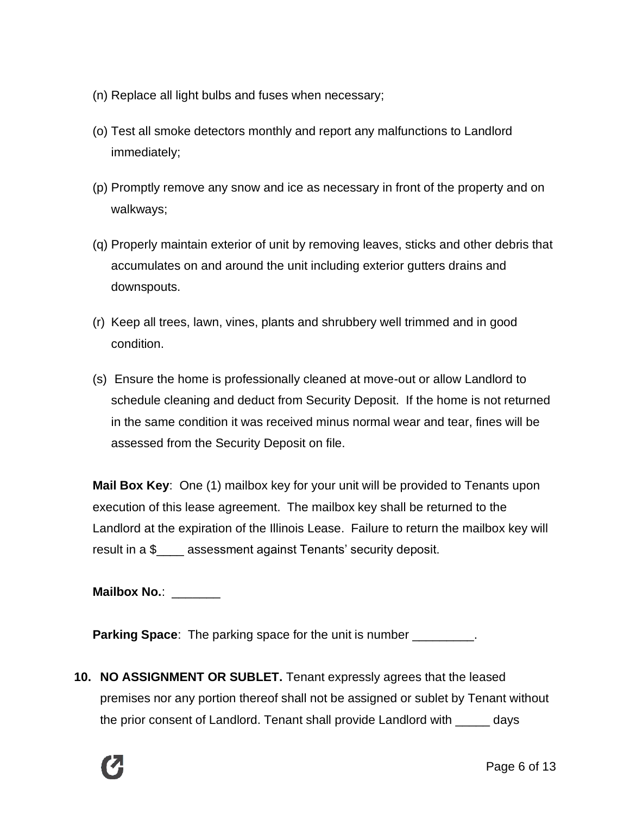- (n) Replace all light bulbs and fuses when necessary;
- (o) Test all smoke detectors monthly and report any malfunctions to Landlord immediately;
- (p) Promptly remove any snow and ice as necessary in front of the property and on walkways;
- (q) Properly maintain exterior of unit by removing leaves, sticks and other debris that accumulates on and around the unit including exterior gutters drains and downspouts.
- (r) Keep all trees, lawn, vines, plants and shrubbery well trimmed and in good condition.
- (s) Ensure the home is professionally cleaned at move-out or allow Landlord to schedule cleaning and deduct from Security Deposit. If the home is not returned in the same condition it was received minus normal wear and tear, fines will be assessed from the Security Deposit on file.

**Mail Box Key**: One (1) mailbox key for your unit will be provided to Tenants upon execution of this lease agreement. The mailbox key shall be returned to the Landlord at the expiration of the Illinois Lease. Failure to return the mailbox key will result in a \$\_\_\_\_ assessment against Tenants' security deposit.

**Mailbox No.**: \_\_\_\_\_\_\_

**Parking Space**: The parking space for the unit is number

**10. NO ASSIGNMENT OR SUBLET.** Tenant expressly agrees that the leased premises nor any portion thereof shall not be assigned or sublet by Tenant without the prior consent of Landlord. Tenant shall provide Landlord with \_\_\_\_\_ days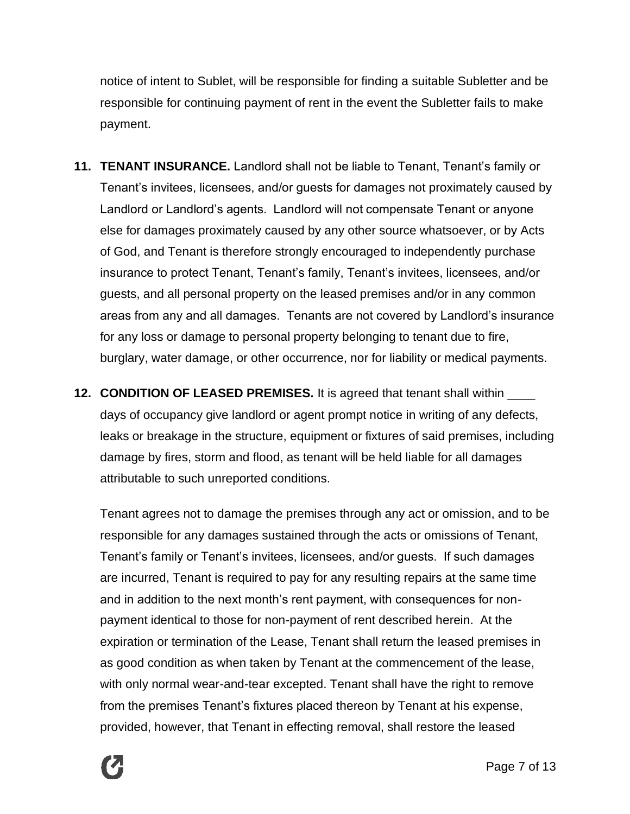notice of intent to Sublet, will be responsible for finding a suitable Subletter and be responsible for continuing payment of rent in the event the Subletter fails to make payment.

- **11. TENANT INSURANCE.** Landlord shall not be liable to Tenant, Tenant's family or Tenant's invitees, licensees, and/or guests for damages not proximately caused by Landlord or Landlord's agents. Landlord will not compensate Tenant or anyone else for damages proximately caused by any other source whatsoever, or by Acts of God, and Tenant is therefore strongly encouraged to independently purchase insurance to protect Tenant, Tenant's family, Tenant's invitees, licensees, and/or guests, and all personal property on the leased premises and/or in any common areas from any and all damages. Tenants are not covered by Landlord's insurance for any loss or damage to personal property belonging to tenant due to fire, burglary, water damage, or other occurrence, nor for liability or medical payments.
- **12. CONDITION OF LEASED PREMISES.** It is agreed that tenant shall within \_\_\_\_ days of occupancy give landlord or agent prompt notice in writing of any defects, leaks or breakage in the structure, equipment or fixtures of said premises, including damage by fires, storm and flood, as tenant will be held liable for all damages attributable to such unreported conditions.

Tenant agrees not to damage the premises through any act or omission, and to be responsible for any damages sustained through the acts or omissions of Tenant, Tenant's family or Tenant's invitees, licensees, and/or guests. If such damages are incurred, Tenant is required to pay for any resulting repairs at the same time and in addition to the next month's rent payment, with consequences for nonpayment identical to those for non-payment of rent described herein. At the expiration or termination of the Lease, Tenant shall return the leased premises in as good condition as when taken by Tenant at the commencement of the lease, with only normal wear-and-tear excepted. Tenant shall have the right to remove from the premises Tenant's fixtures placed thereon by Tenant at his expense, provided, however, that Tenant in effecting removal, shall restore the leased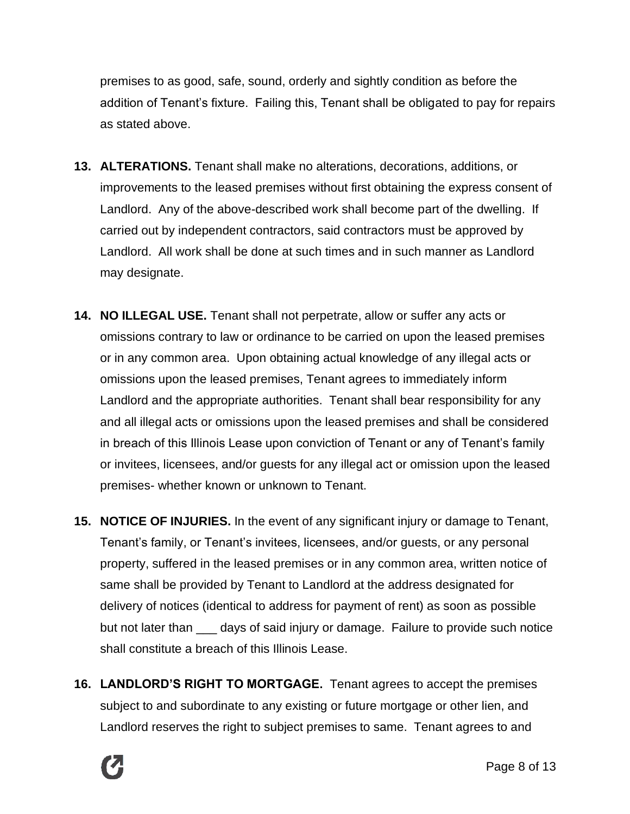premises to as good, safe, sound, orderly and sightly condition as before the addition of Tenant's fixture. Failing this, Tenant shall be obligated to pay for repairs as stated above.

- **13. ALTERATIONS.** Tenant shall make no alterations, decorations, additions, or improvements to the leased premises without first obtaining the express consent of Landlord. Any of the above-described work shall become part of the dwelling. If carried out by independent contractors, said contractors must be approved by Landlord. All work shall be done at such times and in such manner as Landlord may designate.
- **14. NO ILLEGAL USE.** Tenant shall not perpetrate, allow or suffer any acts or omissions contrary to law or ordinance to be carried on upon the leased premises or in any common area. Upon obtaining actual knowledge of any illegal acts or omissions upon the leased premises, Tenant agrees to immediately inform Landlord and the appropriate authorities. Tenant shall bear responsibility for any and all illegal acts or omissions upon the leased premises and shall be considered in breach of this Illinois Lease upon conviction of Tenant or any of Tenant's family or invitees, licensees, and/or guests for any illegal act or omission upon the leased premises- whether known or unknown to Tenant.
- **15. NOTICE OF INJURIES.** In the event of any significant injury or damage to Tenant, Tenant's family, or Tenant's invitees, licensees, and/or guests, or any personal property, suffered in the leased premises or in any common area, written notice of same shall be provided by Tenant to Landlord at the address designated for delivery of notices (identical to address for payment of rent) as soon as possible but not later than \_\_\_ days of said injury or damage. Failure to provide such notice shall constitute a breach of this Illinois Lease.
- **16. LANDLORD'S RIGHT TO MORTGAGE.** Tenant agrees to accept the premises subject to and subordinate to any existing or future mortgage or other lien, and Landlord reserves the right to subject premises to same. Tenant agrees to and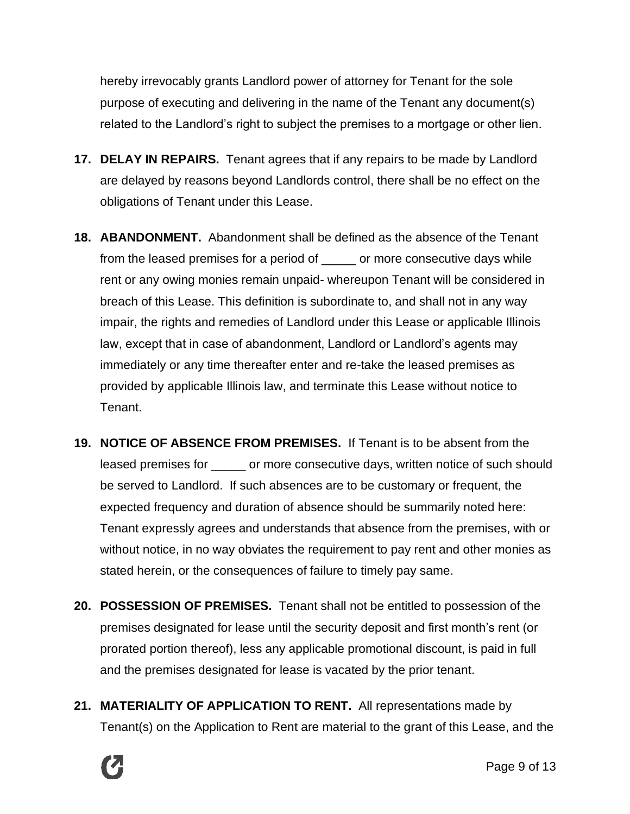hereby irrevocably grants Landlord power of attorney for Tenant for the sole purpose of executing and delivering in the name of the Tenant any document(s) related to the Landlord's right to subject the premises to a mortgage or other lien.

- **17. DELAY IN REPAIRS.** Tenant agrees that if any repairs to be made by Landlord are delayed by reasons beyond Landlords control, there shall be no effect on the obligations of Tenant under this Lease.
- **18. ABANDONMENT.** Abandonment shall be defined as the absence of the Tenant from the leased premises for a period of \_\_\_\_\_ or more consecutive days while rent or any owing monies remain unpaid- whereupon Tenant will be considered in breach of this Lease. This definition is subordinate to, and shall not in any way impair, the rights and remedies of Landlord under this Lease or applicable Illinois law, except that in case of abandonment, Landlord or Landlord's agents may immediately or any time thereafter enter and re-take the leased premises as provided by applicable Illinois law, and terminate this Lease without notice to Tenant.
- **19. NOTICE OF ABSENCE FROM PREMISES.** If Tenant is to be absent from the leased premises for or more consecutive days, written notice of such should be served to Landlord. If such absences are to be customary or frequent, the expected frequency and duration of absence should be summarily noted here: Tenant expressly agrees and understands that absence from the premises, with or without notice, in no way obviates the requirement to pay rent and other monies as stated herein, or the consequences of failure to timely pay same.
- **20. POSSESSION OF PREMISES.** Tenant shall not be entitled to possession of the premises designated for lease until the security deposit and first month's rent (or prorated portion thereof), less any applicable promotional discount, is paid in full and the premises designated for lease is vacated by the prior tenant.
- **21. MATERIALITY OF APPLICATION TO RENT.** All representations made by Tenant(s) on the Application to Rent are material to the grant of this Lease, and the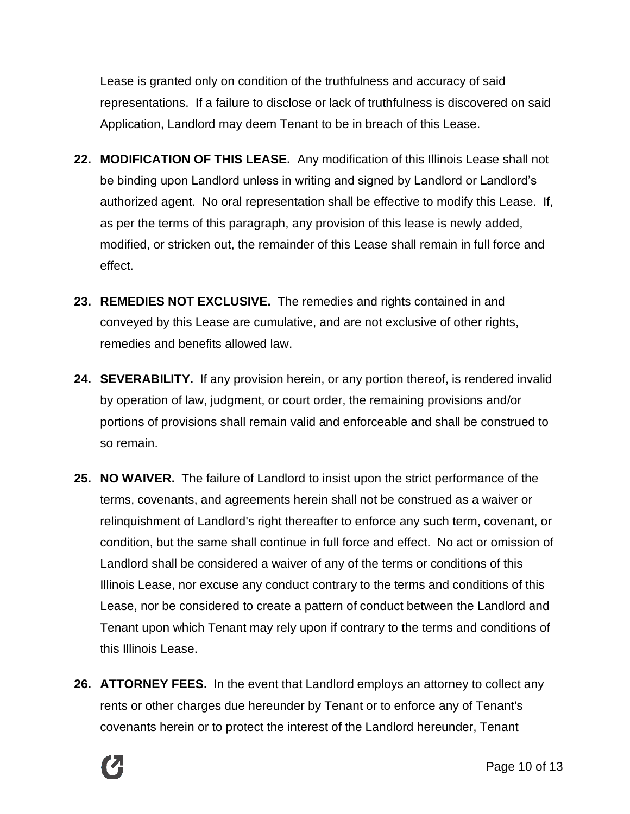Lease is granted only on condition of the truthfulness and accuracy of said representations. If a failure to disclose or lack of truthfulness is discovered on said Application, Landlord may deem Tenant to be in breach of this Lease.

- **22. MODIFICATION OF THIS LEASE.** Any modification of this Illinois Lease shall not be binding upon Landlord unless in writing and signed by Landlord or Landlord's authorized agent. No oral representation shall be effective to modify this Lease. If, as per the terms of this paragraph, any provision of this lease is newly added, modified, or stricken out, the remainder of this Lease shall remain in full force and effect.
- **23. REMEDIES NOT EXCLUSIVE.** The remedies and rights contained in and conveyed by this Lease are cumulative, and are not exclusive of other rights, remedies and benefits allowed law.
- **24. SEVERABILITY.** If any provision herein, or any portion thereof, is rendered invalid by operation of law, judgment, or court order, the remaining provisions and/or portions of provisions shall remain valid and enforceable and shall be construed to so remain.
- **25. NO WAIVER.** The failure of Landlord to insist upon the strict performance of the terms, covenants, and agreements herein shall not be construed as a waiver or relinquishment of Landlord's right thereafter to enforce any such term, covenant, or condition, but the same shall continue in full force and effect. No act or omission of Landlord shall be considered a waiver of any of the terms or conditions of this Illinois Lease, nor excuse any conduct contrary to the terms and conditions of this Lease, nor be considered to create a pattern of conduct between the Landlord and Tenant upon which Tenant may rely upon if contrary to the terms and conditions of this Illinois Lease.
- **26. ATTORNEY FEES.** In the event that Landlord employs an attorney to collect any rents or other charges due hereunder by Tenant or to enforce any of Tenant's covenants herein or to protect the interest of the Landlord hereunder, Tenant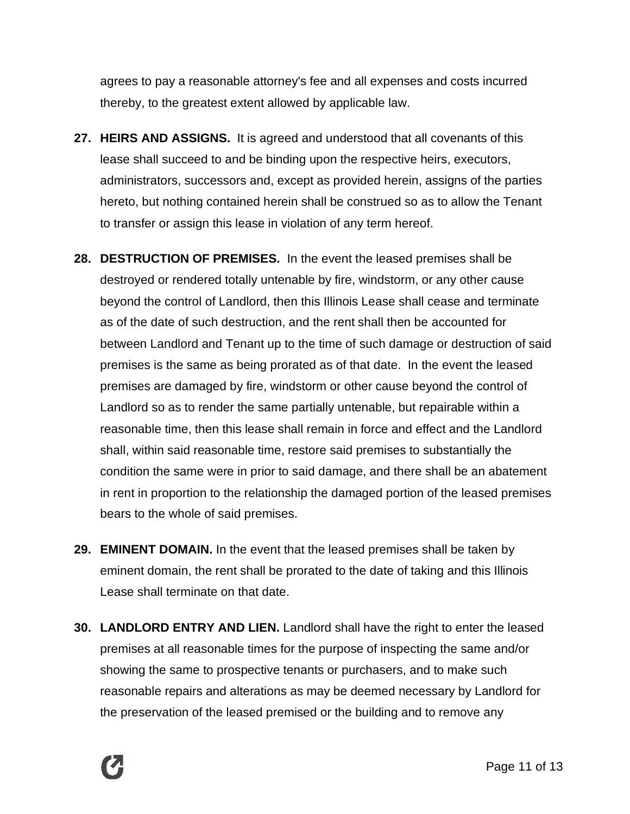agrees to pay a reasonable attorney's fee and all expenses and costs incurred thereby, to the greatest extent allowed by applicable law.

- **27. HEIRS AND ASSIGNS.** It is agreed and understood that all covenants of this lease shall succeed to and be binding upon the respective heirs, executors, administrators, successors and, except as provided herein, assigns of the parties hereto, but nothing contained herein shall be construed so as to allow the Tenant to transfer or assign this lease in violation of any term hereof.
- **28. DESTRUCTION OF PREMISES.** In the event the leased premises shall be destroyed or rendered totally untenable by fire, windstorm, or any other cause beyond the control of Landlord, then this Illinois Lease shall cease and terminate as of the date of such destruction, and the rent shall then be accounted for between Landlord and Tenant up to the time of such damage or destruction of said premises is the same as being prorated as of that date. In the event the leased premises are damaged by fire, windstorm or other cause beyond the control of Landlord so as to render the same partially untenable, but repairable within a reasonable time, then this lease shall remain in force and effect and the Landlord shall, within said reasonable time, restore said premises to substantially the condition the same were in prior to said damage, and there shall be an abatement in rent in proportion to the relationship the damaged portion of the leased premises bears to the whole of said premises.
- **29. EMINENT DOMAIN.** In the event that the leased premises shall be taken by eminent domain, the rent shall be prorated to the date of taking and this Illinois Lease shall terminate on that date.
- **30. LANDLORD ENTRY AND LIEN.** Landlord shall have the right to enter the leased premises at all reasonable times for the purpose of inspecting the same and/or showing the same to prospective tenants or purchasers, and to make such reasonable repairs and alterations as may be deemed necessary by Landlord for the preservation of the leased premised or the building and to remove any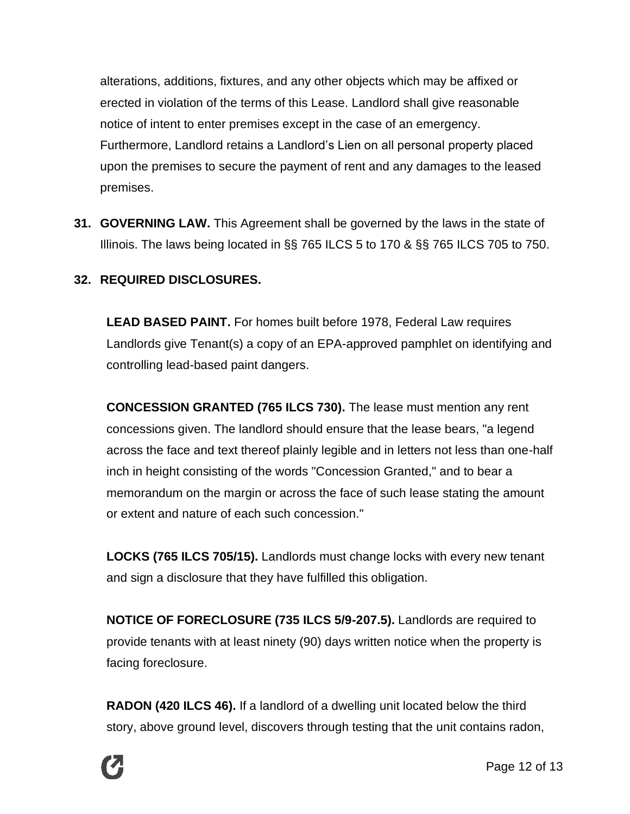alterations, additions, fixtures, and any other objects which may be affixed or erected in violation of the terms of this Lease. Landlord shall give reasonable notice of intent to enter premises except in the case of an emergency. Furthermore, Landlord retains a Landlord's Lien on all personal property placed upon the premises to secure the payment of rent and any damages to the leased premises.

**31. GOVERNING LAW.** This Agreement shall be governed by the laws in the state of Illinois. The laws being located in §§ 765 ILCS 5 to 170 & §§ 765 ILCS 705 to 750.

#### **32. REQUIRED DISCLOSURES.**

**LEAD BASED PAINT.** For homes built before 1978, Federal Law requires Landlords give Tenant(s) a copy of an EPA-approved pamphlet on identifying and controlling lead-based paint dangers.

**CONCESSION GRANTED (765 ILCS 730).** The lease must mention any rent concessions given. The landlord should ensure that the lease bears, "a legend across the face and text thereof plainly legible and in letters not less than one-half inch in height consisting of the words "Concession Granted," and to bear a memorandum on the margin or across the face of such lease stating the amount or extent and nature of each such concession."

**LOCKS (765 ILCS 705/15).** Landlords must change locks with every new tenant and sign a disclosure that they have fulfilled this obligation.

**NOTICE OF FORECLOSURE (735 ILCS 5/9-207.5).** Landlords are required to provide tenants with at least ninety (90) days written notice when the property is facing foreclosure.

**RADON (420 ILCS 46).** If a landlord of a dwelling unit located below the third story, above ground level, discovers through testing that the unit contains radon,